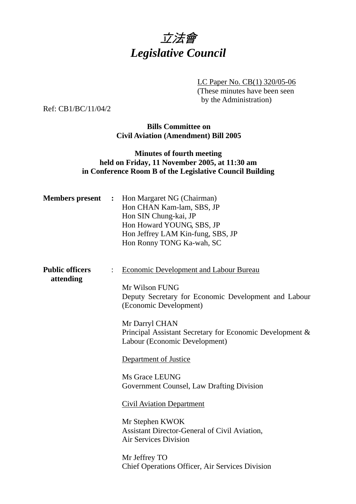

LC Paper No. CB(1) 320/05-06

(These minutes have been seen by the Administration)

Ref: CB1/BC/11/04/2

## **Bills Committee on Civil Aviation (Amendment) Bill 2005**

## **Minutes of fourth meeting held on Friday, 11 November 2005, at 11:30 am in Conference Room B of the Legislative Council Building**

| <b>Members</b> present              | Hon Margaret NG (Chairman)<br>$\ddot{\cdot}$<br>Hon CHAN Kam-lam, SBS, JP<br>Hon SIN Chung-kai, JP<br>Hon Howard YOUNG, SBS, JP<br>Hon Jeffrey LAM Kin-fung, SBS, JP<br>Hon Ronny TONG Ka-wah, SC                                                                                                                                                                                                                                                                                                       |
|-------------------------------------|---------------------------------------------------------------------------------------------------------------------------------------------------------------------------------------------------------------------------------------------------------------------------------------------------------------------------------------------------------------------------------------------------------------------------------------------------------------------------------------------------------|
| <b>Public officers</b><br>attending | <b>Economic Development and Labour Bureau</b><br>Mr Wilson FUNG<br>Deputy Secretary for Economic Development and Labour<br>(Economic Development)<br>Mr Darryl CHAN<br>Principal Assistant Secretary for Economic Development &<br>Labour (Economic Development)<br>Department of Justice<br>Ms Grace LEUNG<br>Government Counsel, Law Drafting Division<br><b>Civil Aviation Department</b><br>Mr Stephen KWOK<br><b>Assistant Director-General of Civil Aviation,</b><br><b>Air Services Division</b> |
|                                     | Mr Jeffrey TO<br><b>Chief Operations Officer, Air Services Division</b>                                                                                                                                                                                                                                                                                                                                                                                                                                 |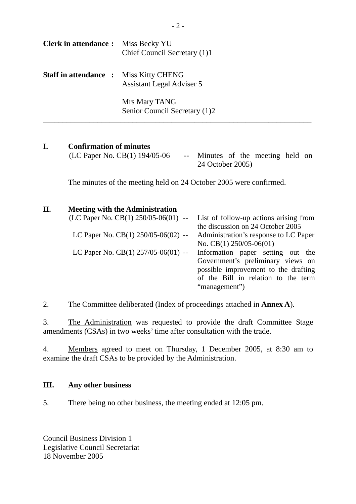| <b>Clerk in attendance :</b> Miss Becky YU    | Chief Council Secretary (1)1                   |
|-----------------------------------------------|------------------------------------------------|
| <b>Staff in attendance :</b> Miss Kitty CHENG | <b>Assistant Legal Adviser 5</b>               |
|                                               | Mrs Mary TANG<br>Senior Council Secretary (1)2 |

## **I. Confirmation of minutes**

| (LC Paper No. CB(1) $194/05-06$ | -- Minutes of the meeting held on |  |  |  |
|---------------------------------|-----------------------------------|--|--|--|
|                                 | 24 October 2005)                  |  |  |  |

The minutes of the meeting held on 24 October 2005 were confirmed.

# **II. Meeting with the Administration**

| $(LC$ Paper No. $CB(1)$ 250/05-06(01) -- List of follow-up actions arising from |                                       |
|---------------------------------------------------------------------------------|---------------------------------------|
|                                                                                 | the discussion on 24 October 2005     |
| LC Paper No. CB(1) 250/05-06(02) --                                             | Administration's response to LC Paper |
|                                                                                 | No. CB $(1)$ 250/05-06 $(01)$         |
| LC Paper No. CB(1) $257/05-06(01)$ --                                           | Information paper setting out the     |
|                                                                                 | Government's preliminary views on     |
|                                                                                 | possible improvement to the drafting  |
|                                                                                 | of the Bill in relation to the term   |
|                                                                                 | "management")                         |
|                                                                                 |                                       |

2. The Committee deliberated (Index of proceedings attached in **Annex A**).

3. The Administration was requested to provide the draft Committee Stage amendments (CSAs) in two weeks' time after consultation with the trade.

4. Members agreed to meet on Thursday, 1 December 2005, at 8:30 am to examine the draft CSAs to be provided by the Administration.

## **III. Any other business**

5. There being no other business, the meeting ended at 12:05 pm.

Council Business Division 1 Legislative Council Secretariat 18 November 2005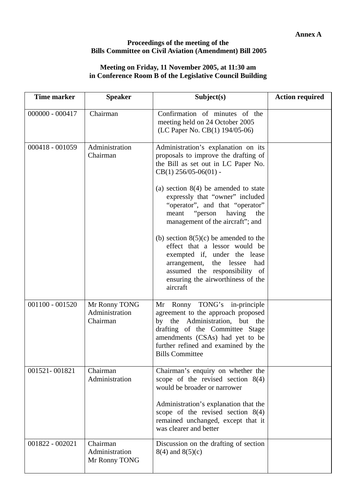#### **Proceedings of the meeting of the Bills Committee on Civil Aviation (Amendment) Bill 2005**

### **Meeting on Friday, 11 November 2005, at 11:30 am in Conference Room B of the Legislative Council Building**

| <b>Time marker</b> | <b>Speaker</b>                              | Subject(s)                                                                                                                                                                                                                                               | <b>Action required</b> |
|--------------------|---------------------------------------------|----------------------------------------------------------------------------------------------------------------------------------------------------------------------------------------------------------------------------------------------------------|------------------------|
| $000000 - 000417$  | Chairman                                    | Confirmation of minutes of the<br>meeting held on 24 October 2005<br>(LC Paper No. CB(1) 194/05-06)                                                                                                                                                      |                        |
| 000418 - 001059    | Administration<br>Chairman                  | Administration's explanation on its<br>proposals to improve the drafting of<br>the Bill as set out in LC Paper No.<br>$CB(1)$ 256/05-06(01) -                                                                                                            |                        |
|                    |                                             | (a) section $8(4)$ be amended to state<br>expressly that "owner" included<br>"operator", and that "operator"<br>"person<br>having<br>meant<br>the<br>management of the aircraft"; and                                                                    |                        |
|                    |                                             | (b) section $8(5)(c)$ be amended to the<br>effect that a lessor would be<br>exempted if, under the lease<br>arrangement, the lessee<br>had<br>assumed the responsibility of<br>ensuring the airworthiness of the<br>aircraft                             |                        |
| $001100 - 001520$  | Mr Ronny TONG<br>Administration<br>Chairman | Mr Ronny TONG's in-principle<br>agreement to the approach proposed<br>by the Administration, but the<br>drafting of the Committee Stage<br>amendments (CSAs) had yet to be<br>further refined and examined by the<br><b>Bills Committee</b>              |                        |
| 001521-001821      | Chairman<br>Administration                  | Chairman's enquiry on whether the<br>scope of the revised section $8(4)$<br>would be broader or narrower<br>Administration's explanation that the<br>scope of the revised section $8(4)$<br>remained unchanged, except that it<br>was clearer and better |                        |
| 001822 - 002021    | Chairman<br>Administration<br>Mr Ronny TONG | Discussion on the drafting of section<br>$8(4)$ and $8(5)(c)$                                                                                                                                                                                            |                        |